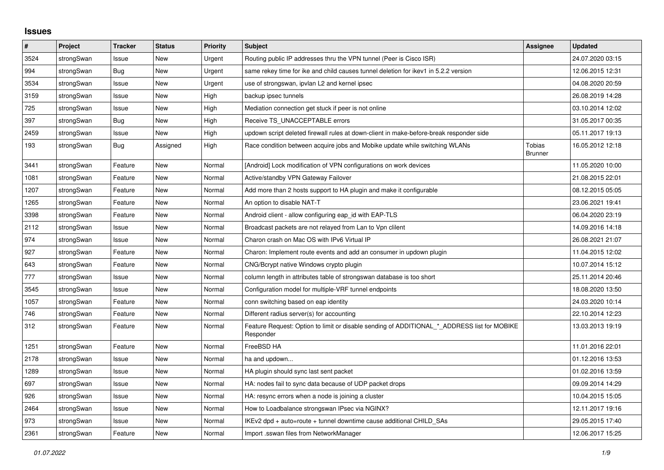## **Issues**

| #    | Project    | <b>Tracker</b> | <b>Status</b> | Priority | <b>Subject</b>                                                                                           | <b>Assignee</b>          | <b>Updated</b>   |
|------|------------|----------------|---------------|----------|----------------------------------------------------------------------------------------------------------|--------------------------|------------------|
| 3524 | strongSwan | Issue          | <b>New</b>    | Urgent   | Routing public IP addresses thru the VPN tunnel (Peer is Cisco ISR)                                      |                          | 24.07.2020 03:15 |
| 994  | strongSwan | <b>Bug</b>     | <b>New</b>    | Urgent   | same rekey time for ike and child causes tunnel deletion for ikev1 in 5.2.2 version                      |                          | 12.06.2015 12:31 |
| 3534 | strongSwan | Issue          | New           | Urgent   | use of strongswan, ipvlan L2 and kernel ipsec                                                            |                          | 04.08.2020 20:59 |
| 3159 | strongSwan | Issue          | <b>New</b>    | High     | backup ipsec tunnels                                                                                     |                          | 26.08.2019 14:28 |
| 725  | strongSwan | Issue          | <b>New</b>    | High     | Mediation connection get stuck if peer is not online                                                     |                          | 03.10.2014 12:02 |
| 397  | strongSwan | Bug            | New           | High     | Receive TS UNACCEPTABLE errors                                                                           |                          | 31.05.2017 00:35 |
| 2459 | strongSwan | Issue          | <b>New</b>    | High     | updown script deleted firewall rules at down-client in make-before-break responder side                  |                          | 05.11.2017 19:13 |
| 193  | strongSwan | Bug            | Assigned      | High     | Race condition between acquire jobs and Mobike update while switching WLANs                              | Tobias<br><b>Brunner</b> | 16.05.2012 12:18 |
| 3441 | strongSwan | Feature        | <b>New</b>    | Normal   | [Android] Lock modification of VPN configurations on work devices                                        |                          | 11.05.2020 10:00 |
| 1081 | strongSwan | Feature        | <b>New</b>    | Normal   | Active/standby VPN Gateway Failover                                                                      |                          | 21.08.2015 22:01 |
| 1207 | strongSwan | Feature        | New           | Normal   | Add more than 2 hosts support to HA plugin and make it configurable                                      |                          | 08.12.2015 05:05 |
| 1265 | strongSwan | Feature        | New           | Normal   | An option to disable NAT-T                                                                               |                          | 23.06.2021 19:41 |
| 3398 | strongSwan | Feature        | <b>New</b>    | Normal   | Android client - allow configuring eap id with EAP-TLS                                                   |                          | 06.04.2020 23:19 |
| 2112 | strongSwan | Issue          | New           | Normal   | Broadcast packets are not relayed from Lan to Vpn clilent                                                |                          | 14.09.2016 14:18 |
| 974  | strongSwan | Issue          | <b>New</b>    | Normal   | Charon crash on Mac OS with IPv6 Virtual IP                                                              |                          | 26.08.2021 21:07 |
| 927  | strongSwan | Feature        | New           | Normal   | Charon: Implement route events and add an consumer in updown plugin                                      |                          | 11.04.2015 12:02 |
| 643  | strongSwan | Feature        | <b>New</b>    | Normal   | CNG/Bcrypt native Windows crypto plugin                                                                  |                          | 10.07.2014 15:12 |
| 777  | strongSwan | Issue          | <b>New</b>    | Normal   | column length in attributes table of strongswan database is too short                                    |                          | 25.11.2014 20:46 |
| 3545 | strongSwan | Issue          | New           | Normal   | Configuration model for multiple-VRF tunnel endpoints                                                    |                          | 18.08.2020 13:50 |
| 1057 | strongSwan | Feature        | New           | Normal   | conn switching based on eap identity                                                                     |                          | 24.03.2020 10:14 |
| 746  | strongSwan | Feature        | <b>New</b>    | Normal   | Different radius server(s) for accounting                                                                |                          | 22.10.2014 12:23 |
| 312  | strongSwan | Feature        | New           | Normal   | Feature Request: Option to limit or disable sending of ADDITIONAL_*_ADDRESS list for MOBIKE<br>Responder |                          | 13.03.2013 19:19 |
| 1251 | strongSwan | Feature        | <b>New</b>    | Normal   | FreeBSD HA                                                                                               |                          | 11.01.2016 22:01 |
| 2178 | strongSwan | Issue          | <b>New</b>    | Normal   | ha and updown                                                                                            |                          | 01.12.2016 13:53 |
| 1289 | strongSwan | Issue          | <b>New</b>    | Normal   | HA plugin should sync last sent packet                                                                   |                          | 01.02.2016 13:59 |
| 697  | strongSwan | Issue          | <b>New</b>    | Normal   | HA: nodes fail to sync data because of UDP packet drops                                                  |                          | 09.09.2014 14:29 |
| 926  | strongSwan | Issue          | <b>New</b>    | Normal   | HA: resync errors when a node is joining a cluster                                                       |                          | 10.04.2015 15:05 |
| 2464 | strongSwan | Issue          | New           | Normal   | How to Loadbalance strongswan IPsec via NGINX?                                                           |                          | 12.11.2017 19:16 |
| 973  | strongSwan | Issue          | <b>New</b>    | Normal   | IKEv2 dpd + auto=route + tunnel downtime cause additional CHILD_SAs                                      |                          | 29.05.2015 17:40 |
| 2361 | strongSwan | Feature        | <b>New</b>    | Normal   | Import .sswan files from NetworkManager                                                                  |                          | 12.06.2017 15:25 |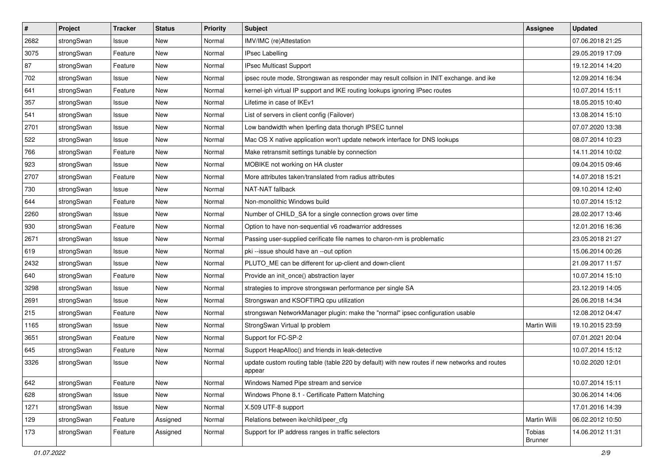| $\pmb{\#}$ | Project    | <b>Tracker</b> | <b>Status</b> | <b>Priority</b> | <b>Subject</b>                                                                                          | <b>Assignee</b>          | <b>Updated</b>   |
|------------|------------|----------------|---------------|-----------------|---------------------------------------------------------------------------------------------------------|--------------------------|------------------|
| 2682       | strongSwan | Issue          | New           | Normal          | IMV/IMC (re)Attestation                                                                                 |                          | 07.06.2018 21:25 |
| 3075       | strongSwan | Feature        | New           | Normal          | <b>IPsec Labelling</b>                                                                                  |                          | 29.05.2019 17:09 |
| 87         | strongSwan | Feature        | New           | Normal          | <b>IPsec Multicast Support</b>                                                                          |                          | 19.12.2014 14:20 |
| 702        | strongSwan | Issue          | New           | Normal          | ipsec route mode, Strongswan as responder may result collsion in INIT exchange. and ike                 |                          | 12.09.2014 16:34 |
| 641        | strongSwan | Feature        | New           | Normal          | kernel-iph virtual IP support and IKE routing lookups ignoring IPsec routes                             |                          | 10.07.2014 15:11 |
| 357        | strongSwan | Issue          | New           | Normal          | Lifetime in case of IKEv1                                                                               |                          | 18.05.2015 10:40 |
| 541        | strongSwan | Issue          | New           | Normal          | List of servers in client config (Failover)                                                             |                          | 13.08.2014 15:10 |
| 2701       | strongSwan | Issue          | New           | Normal          | Low bandwidth when Iperfing data thorugh IPSEC tunnel                                                   |                          | 07.07.2020 13:38 |
| 522        | strongSwan | Issue          | New           | Normal          | Mac OS X native application won't update network interface for DNS lookups                              |                          | 08.07.2014 10:23 |
| 766        | strongSwan | Feature        | New           | Normal          | Make retransmit settings tunable by connection                                                          |                          | 14.11.2014 10:02 |
| 923        | strongSwan | Issue          | New           | Normal          | MOBIKE not working on HA cluster                                                                        |                          | 09.04.2015 09:46 |
| 2707       | strongSwan | Feature        | <b>New</b>    | Normal          | More attributes taken/translated from radius attributes                                                 |                          | 14.07.2018 15:21 |
| 730        | strongSwan | Issue          | New           | Normal          | NAT-NAT fallback                                                                                        |                          | 09.10.2014 12:40 |
| 644        | strongSwan | Feature        | <b>New</b>    | Normal          | Non-monolithic Windows build                                                                            |                          | 10.07.2014 15:12 |
| 2260       | strongSwan | Issue          | New           | Normal          | Number of CHILD_SA for a single connection grows over time                                              |                          | 28.02.2017 13:46 |
| 930        | strongSwan | Feature        | New           | Normal          | Option to have non-sequential v6 roadwarrior addresses                                                  |                          | 12.01.2016 16:36 |
| 2671       | strongSwan | Issue          | New           | Normal          | Passing user-supplied cerificate file names to charon-nm is problematic                                 |                          | 23.05.2018 21:27 |
| 619        | strongSwan | Issue          | <b>New</b>    | Normal          | pki --issue should have an --out option                                                                 |                          | 15.06.2014 00:26 |
| 2432       | strongSwan | Issue          | New           | Normal          | PLUTO_ME can be different for up-client and down-client                                                 |                          | 21.09.2017 11:57 |
| 640        | strongSwan | Feature        | New           | Normal          | Provide an init_once() abstraction layer                                                                |                          | 10.07.2014 15:10 |
| 3298       | strongSwan | Issue          | <b>New</b>    | Normal          | strategies to improve strongswan performance per single SA                                              |                          | 23.12.2019 14:05 |
| 2691       | strongSwan | Issue          | New           | Normal          | Strongswan and KSOFTIRQ cpu utilization                                                                 |                          | 26.06.2018 14:34 |
| 215        | strongSwan | Feature        | New           | Normal          | strongswan NetworkManager plugin: make the "normal" ipsec configuration usable                          |                          | 12.08.2012 04:47 |
| 1165       | strongSwan | Issue          | New           | Normal          | StrongSwan Virtual Ip problem                                                                           | Martin Willi             | 19.10.2015 23:59 |
| 3651       | strongSwan | Feature        | New           | Normal          | Support for FC-SP-2                                                                                     |                          | 07.01.2021 20:04 |
| 645        | strongSwan | Feature        | New           | Normal          | Support HeapAlloc() and friends in leak-detective                                                       |                          | 10.07.2014 15:12 |
| 3326       | strongSwan | Issue          | <b>New</b>    | Normal          | update custom routing table (table 220 by default) with new routes if new networks and routes<br>appear |                          | 10.02.2020 12:01 |
| 642        | strongSwan | Feature        | New           | Normal          | Windows Named Pipe stream and service                                                                   |                          | 10.07.2014 15:11 |
| 628        | strongSwan | Issue          | New           | Normal          | Windows Phone 8.1 - Certificate Pattern Matching                                                        |                          | 30.06.2014 14:06 |
| 1271       | strongSwan | Issue          | New           | Normal          | X.509 UTF-8 support                                                                                     |                          | 17.01.2016 14:39 |
| 129        | strongSwan | Feature        | Assigned      | Normal          | Relations between ike/child/peer_cfg                                                                    | Martin Willi             | 06.02.2012 10:50 |
| 173        | strongSwan | Feature        | Assigned      | Normal          | Support for IP address ranges in traffic selectors                                                      | Tobias<br><b>Brunner</b> | 14.06.2012 11:31 |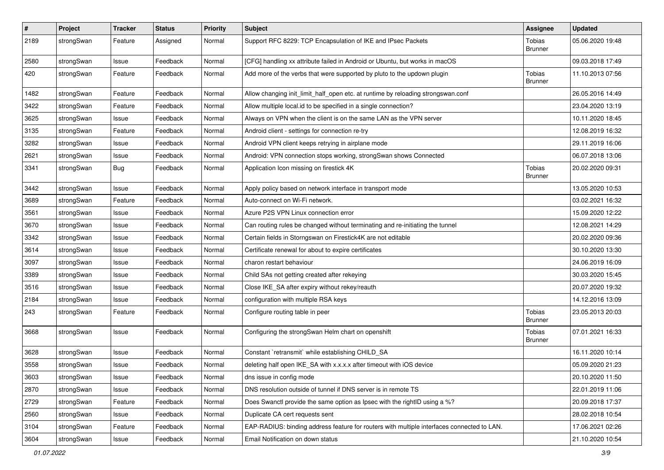| $\sharp$ | Project    | <b>Tracker</b> | <b>Status</b> | <b>Priority</b> | <b>Subject</b>                                                                             | <b>Assignee</b>          | <b>Updated</b>   |
|----------|------------|----------------|---------------|-----------------|--------------------------------------------------------------------------------------------|--------------------------|------------------|
| 2189     | strongSwan | Feature        | Assigned      | Normal          | Support RFC 8229: TCP Encapsulation of IKE and IPsec Packets                               | Tobias<br><b>Brunner</b> | 05.06.2020 19:48 |
| 2580     | strongSwan | Issue          | Feedback      | Normal          | [CFG] handling xx attribute failed in Android or Ubuntu, but works in macOS                |                          | 09.03.2018 17:49 |
| 420      | strongSwan | Feature        | Feedback      | Normal          | Add more of the verbs that were supported by pluto to the updown plugin                    | Tobias<br><b>Brunner</b> | 11.10.2013 07:56 |
| 1482     | strongSwan | Feature        | Feedback      | Normal          | Allow changing init_limit_half_open etc. at runtime by reloading strongswan.conf           |                          | 26.05.2016 14:49 |
| 3422     | strongSwan | Feature        | Feedback      | Normal          | Allow multiple local.id to be specified in a single connection?                            |                          | 23.04.2020 13:19 |
| 3625     | strongSwan | Issue          | Feedback      | Normal          | Always on VPN when the client is on the same LAN as the VPN server                         |                          | 10.11.2020 18:45 |
| 3135     | strongSwan | Feature        | Feedback      | Normal          | Android client - settings for connection re-try                                            |                          | 12.08.2019 16:32 |
| 3282     | strongSwan | Issue          | Feedback      | Normal          | Android VPN client keeps retrying in airplane mode                                         |                          | 29.11.2019 16:06 |
| 2621     | strongSwan | Issue          | Feedback      | Normal          | Android: VPN connection stops working, strongSwan shows Connected                          |                          | 06.07.2018 13:06 |
| 3341     | strongSwan | <b>Bug</b>     | Feedback      | Normal          | Application Icon missing on firestick 4K                                                   | Tobias<br><b>Brunner</b> | 20.02.2020 09:31 |
| 3442     | strongSwan | Issue          | Feedback      | Normal          | Apply policy based on network interface in transport mode                                  |                          | 13.05.2020 10:53 |
| 3689     | strongSwan | Feature        | Feedback      | Normal          | Auto-connect on Wi-Fi network.                                                             |                          | 03.02.2021 16:32 |
| 3561     | strongSwan | Issue          | Feedback      | Normal          | Azure P2S VPN Linux connection error                                                       |                          | 15.09.2020 12:22 |
| 3670     | strongSwan | Issue          | Feedback      | Normal          | Can routing rules be changed without terminating and re-initiating the tunnel              |                          | 12.08.2021 14:29 |
| 3342     | strongSwan | Issue          | Feedback      | Normal          | Certain fields in Storngswan on Firestick4K are not editable                               |                          | 20.02.2020 09:36 |
| 3614     | strongSwan | Issue          | Feedback      | Normal          | Certificate renewal for about to expire certificates                                       |                          | 30.10.2020 13:30 |
| 3097     | strongSwan | Issue          | Feedback      | Normal          | charon restart behaviour                                                                   |                          | 24.06.2019 16:09 |
| 3389     | strongSwan | Issue          | Feedback      | Normal          | Child SAs not getting created after rekeying                                               |                          | 30.03.2020 15:45 |
| 3516     | strongSwan | Issue          | Feedback      | Normal          | Close IKE_SA after expiry without rekey/reauth                                             |                          | 20.07.2020 19:32 |
| 2184     | strongSwan | Issue          | Feedback      | Normal          | configuration with multiple RSA keys                                                       |                          | 14.12.2016 13:09 |
| 243      | strongSwan | Feature        | Feedback      | Normal          | Configure routing table in peer                                                            | Tobias<br><b>Brunner</b> | 23.05.2013 20:03 |
| 3668     | strongSwan | Issue          | Feedback      | Normal          | Configuring the strongSwan Helm chart on openshift                                         | Tobias<br><b>Brunner</b> | 07.01.2021 16:33 |
| 3628     | strongSwan | Issue          | Feedback      | Normal          | Constant `retransmit` while establishing CHILD_SA                                          |                          | 16.11.2020 10:14 |
| 3558     | strongSwan | Issue          | Feedback      | Normal          | deleting half open IKE_SA with x.x.x.x after timeout with iOS device                       |                          | 05.09.2020 21:23 |
| 3603     | strongSwan | Issue          | Feedback      | Normal          | dns issue in config mode                                                                   |                          | 20.10.2020 11:50 |
| 2870     | strongSwan | Issue          | Feedback      | Normal          | DNS resolution outside of tunnel if DNS server is in remote TS                             |                          | 22.01.2019 11:06 |
| 2729     | strongSwan | Feature        | Feedback      | Normal          | Does Swanctl provide the same option as Ipsec with the rightID using a %?                  |                          | 20.09.2018 17:37 |
| 2560     | strongSwan | Issue          | Feedback      | Normal          | Duplicate CA cert requests sent                                                            |                          | 28.02.2018 10:54 |
| 3104     | strongSwan | Feature        | Feedback      | Normal          | EAP-RADIUS: binding address feature for routers with multiple interfaces connected to LAN. |                          | 17.06.2021 02:26 |
| 3604     | strongSwan | Issue          | Feedback      | Normal          | Email Notification on down status                                                          |                          | 21.10.2020 10:54 |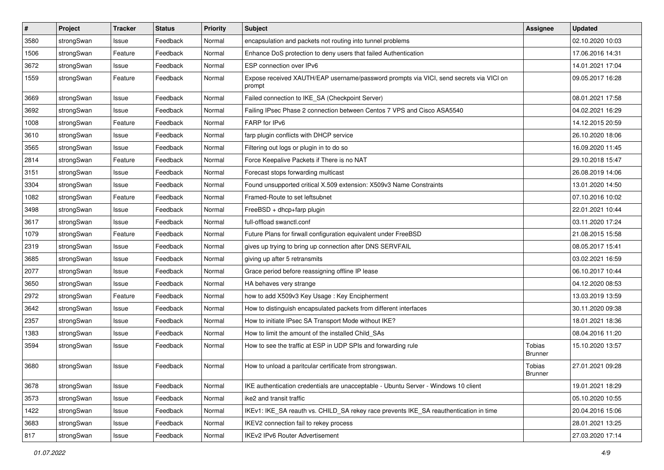| $\vert$ # | Project    | <b>Tracker</b> | <b>Status</b> | <b>Priority</b> | <b>Subject</b>                                                                                   | <b>Assignee</b>          | <b>Updated</b>   |
|-----------|------------|----------------|---------------|-----------------|--------------------------------------------------------------------------------------------------|--------------------------|------------------|
| 3580      | strongSwan | Issue          | Feedback      | Normal          | encapsulation and packets not routing into tunnel problems                                       |                          | 02.10.2020 10:03 |
| 1506      | strongSwan | Feature        | Feedback      | Normal          | Enhance DoS protection to deny users that failed Authentication                                  |                          | 17.06.2016 14:31 |
| 3672      | strongSwan | Issue          | Feedback      | Normal          | ESP connection over IPv6                                                                         |                          | 14.01.2021 17:04 |
| 1559      | strongSwan | Feature        | Feedback      | Normal          | Expose received XAUTH/EAP username/password prompts via VICI, send secrets via VICI on<br>prompt |                          | 09.05.2017 16:28 |
| 3669      | strongSwan | Issue          | Feedback      | Normal          | Failed connection to IKE_SA (Checkpoint Server)                                                  |                          | 08.01.2021 17:58 |
| 3692      | strongSwan | Issue          | Feedback      | Normal          | Failing IPsec Phase 2 connection between Centos 7 VPS and Cisco ASA5540                          |                          | 04.02.2021 16:29 |
| 1008      | strongSwan | Feature        | Feedback      | Normal          | FARP for IPv6                                                                                    |                          | 14.12.2015 20:59 |
| 3610      | strongSwan | Issue          | Feedback      | Normal          | farp plugin conflicts with DHCP service                                                          |                          | 26.10.2020 18:06 |
| 3565      | strongSwan | Issue          | Feedback      | Normal          | Filtering out logs or plugin in to do so                                                         |                          | 16.09.2020 11:45 |
| 2814      | strongSwan | Feature        | Feedback      | Normal          | Force Keepalive Packets if There is no NAT                                                       |                          | 29.10.2018 15:47 |
| 3151      | strongSwan | Issue          | Feedback      | Normal          | Forecast stops forwarding multicast                                                              |                          | 26.08.2019 14:06 |
| 3304      | strongSwan | Issue          | Feedback      | Normal          | Found unsupported critical X.509 extension: X509v3 Name Constraints                              |                          | 13.01.2020 14:50 |
| 1082      | strongSwan | Feature        | Feedback      | Normal          | Framed-Route to set leftsubnet                                                                   |                          | 07.10.2016 10:02 |
| 3498      | strongSwan | Issue          | Feedback      | Normal          | FreeBSD + dhcp+farp plugin                                                                       |                          | 22.01.2021 10:44 |
| 3617      | strongSwan | Issue          | Feedback      | Normal          | full-offload swanctl.conf                                                                        |                          | 03.11.2020 17:24 |
| 1079      | strongSwan | Feature        | Feedback      | Normal          | Future Plans for firwall configuration equivalent under FreeBSD                                  |                          | 21.08.2015 15:58 |
| 2319      | strongSwan | Issue          | Feedback      | Normal          | gives up trying to bring up connection after DNS SERVFAIL                                        |                          | 08.05.2017 15:41 |
| 3685      | strongSwan | Issue          | Feedback      | Normal          | giving up after 5 retransmits                                                                    |                          | 03.02.2021 16:59 |
| 2077      | strongSwan | Issue          | Feedback      | Normal          | Grace period before reassigning offline IP lease                                                 |                          | 06.10.2017 10:44 |
| 3650      | strongSwan | Issue          | Feedback      | Normal          | HA behaves very strange                                                                          |                          | 04.12.2020 08:53 |
| 2972      | strongSwan | Feature        | Feedback      | Normal          | how to add X509v3 Key Usage: Key Encipherment                                                    |                          | 13.03.2019 13:59 |
| 3642      | strongSwan | Issue          | Feedback      | Normal          | How to distinguish encapsulated packets from different interfaces                                |                          | 30.11.2020 09:38 |
| 2357      | strongSwan | Issue          | Feedback      | Normal          | How to initiate IPsec SA Transport Mode without IKE?                                             |                          | 18.01.2021 18:36 |
| 1383      | strongSwan | Issue          | Feedback      | Normal          | How to limit the amount of the installed Child_SAs                                               |                          | 08.04.2016 11:20 |
| 3594      | strongSwan | Issue          | Feedback      | Normal          | How to see the traffic at ESP in UDP SPIs and forwarding rule                                    | Tobias<br><b>Brunner</b> | 15.10.2020 13:57 |
| 3680      | strongSwan | Issue          | Feedback      | Normal          | How to unload a paritcular certificate from strongswan.                                          | Tobias<br><b>Brunner</b> | 27.01.2021 09:28 |
| 3678      | strongSwan | Issue          | Feedback      | Normal          | IKE authentication credentials are unacceptable - Ubuntu Server - Windows 10 client              |                          | 19.01.2021 18:29 |
| 3573      | strongSwan | Issue          | Feedback      | Normal          | ike2 and transit traffic                                                                         |                          | 05.10.2020 10:55 |
| 1422      | strongSwan | Issue          | Feedback      | Normal          | IKEv1: IKE_SA reauth vs. CHILD_SA rekey race prevents IKE_SA reauthentication in time            |                          | 20.04.2016 15:06 |
| 3683      | strongSwan | Issue          | Feedback      | Normal          | IKEV2 connection fail to rekey process                                                           |                          | 28.01.2021 13:25 |
| 817       | strongSwan | Issue          | Feedback      | Normal          | IKEv2 IPv6 Router Advertisement                                                                  |                          | 27.03.2020 17:14 |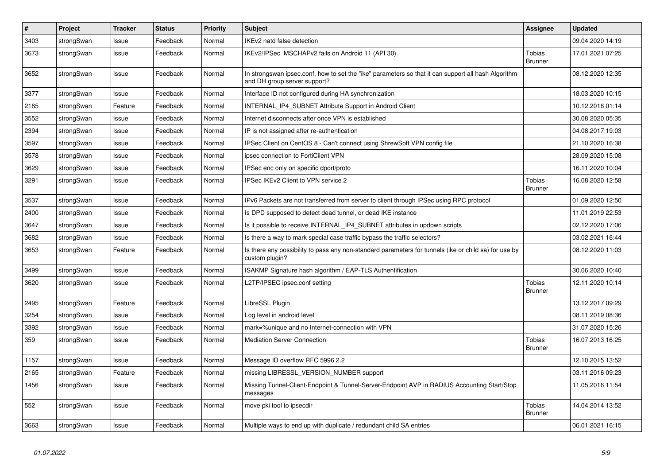| $\vert$ # | <b>Project</b> | <b>Tracker</b> | <b>Status</b> | Priority | <b>Subject</b>                                                                                                                      | Assignee                        | <b>Updated</b>   |
|-----------|----------------|----------------|---------------|----------|-------------------------------------------------------------------------------------------------------------------------------------|---------------------------------|------------------|
| 3403      | strongSwan     | Issue          | Feedback      | Normal   | IKEv2 natd false detection                                                                                                          |                                 | 09.04.2020 14:19 |
| 3673      | strongSwan     | Issue          | Feedback      | Normal   | IKEv2/IPSec MSCHAPv2 fails on Android 11 (API 30).                                                                                  | Tobias<br>Brunner               | 17.01.2021 07:25 |
| 3652      | strongSwan     | Issue          | Feedback      | Normal   | In strongswan ipsec.conf, how to set the "ike" parameters so that it can support all hash Algorithm<br>and DH group server support? |                                 | 08.12.2020 12:35 |
| 3377      | strongSwan     | Issue          | Feedback      | Normal   | Interface ID not configured during HA synchronization                                                                               |                                 | 18.03.2020 10:15 |
| 2185      | strongSwan     | Feature        | Feedback      | Normal   | INTERNAL_IP4_SUBNET Attribute Support in Android Client                                                                             |                                 | 10.12.2016 01:14 |
| 3552      | strongSwan     | Issue          | Feedback      | Normal   | Internet disconnects after once VPN is established                                                                                  |                                 | 30.08.2020 05:35 |
| 2394      | strongSwan     | Issue          | Feedback      | Normal   | IP is not assigned after re-authentication                                                                                          |                                 | 04.08.2017 19:03 |
| 3597      | strongSwan     | Issue          | Feedback      | Normal   | IPSec Client on CentOS 8 - Can't connect using ShrewSoft VPN config file                                                            |                                 | 21.10.2020 16:38 |
| 3578      | strongSwan     | Issue          | Feedback      | Normal   | ipsec connection to FortiClient VPN                                                                                                 |                                 | 28.09.2020 15:08 |
| 3629      | strongSwan     | Issue          | Feedback      | Normal   | IPSec enc only on specific dport/proto                                                                                              |                                 | 16.11.2020 10:04 |
| 3291      | strongSwan     | Issue          | Feedback      | Normal   | IPSec IKEv2 Client to VPN service 2                                                                                                 | <b>Tobias</b><br><b>Brunner</b> | 16.08.2020 12:58 |
| 3537      | strongSwan     | Issue          | Feedback      | Normal   | IPv6 Packets are not transferred from server to client through IPSec using RPC protocol                                             |                                 | 01.09.2020 12:50 |
| 2400      | strongSwan     | Issue          | Feedback      | Normal   | Is DPD supposed to detect dead tunnel, or dead IKE instance                                                                         |                                 | 11.01.2019 22:53 |
| 3647      | strongSwan     | Issue          | Feedback      | Normal   | Is it possible to receive INTERNAL IP4 SUBNET attributes in updown scripts                                                          |                                 | 02.12.2020 17:06 |
| 3682      | strongSwan     | Issue          | Feedback      | Normal   | Is there a way to mark special case traffic bypass the traffic selectors?                                                           |                                 | 03.02.2021 16:44 |
| 3653      | strongSwan     | Feature        | Feedback      | Normal   | Is there any possibility to pass any non-standard parameters for tunnels (ike or child sa) for use by<br>custom plugin?             |                                 | 08.12.2020 11:03 |
| 3499      | strongSwan     | Issue          | Feedback      | Normal   | ISAKMP Signature hash algorithm / EAP-TLS Authentification                                                                          |                                 | 30.06.2020 10:40 |
| 3620      | strongSwan     | Issue          | Feedback      | Normal   | L2TP/IPSEC ipsec.conf setting                                                                                                       | Tobias<br><b>Brunner</b>        | 12.11.2020 10:14 |
| 2495      | strongSwan     | Feature        | Feedback      | Normal   | LibreSSL Plugin                                                                                                                     |                                 | 13.12.2017 09:29 |
| 3254      | strongSwan     | Issue          | Feedback      | Normal   | Log level in android level                                                                                                          |                                 | 08.11.2019 08:36 |
| 3392      | strongSwan     | Issue          | Feedback      | Normal   | mark=%unique and no Internet-connection with VPN                                                                                    |                                 | 31.07.2020 15:26 |
| 359       | strongSwan     | Issue          | Feedback      | Normal   | <b>Mediation Server Connection</b>                                                                                                  | <b>Tobias</b><br><b>Brunner</b> | 16.07.2013 16:25 |
| 1157      | strongSwan     | Issue          | Feedback      | Normal   | Message ID overflow RFC 5996 2.2                                                                                                    |                                 | 12.10.2015 13:52 |
| 2165      | strongSwan     | Feature        | Feedback      | Normal   | missing LIBRESSL VERSION NUMBER support                                                                                             |                                 | 03.11.2016 09:23 |
| 1456      | strongSwan     | Issue          | Feedback      | Normal   | Missing Tunnel-Client-Endpoint & Tunnel-Server-Endpoint AVP in RADIUS Accounting Start/Stop<br>messages                             |                                 | 11.05.2016 11:54 |
| 552       | strongSwan     | Issue          | Feedback      | Normal   | move pki tool to ipsecdir                                                                                                           | <b>Tobias</b><br><b>Brunner</b> | 14.04.2014 13:52 |
| 3663      | strongSwan     | Issue          | Feedback      | Normal   | Multiple ways to end up with duplicate / redundant child SA entries                                                                 |                                 | 06.01.2021 16:15 |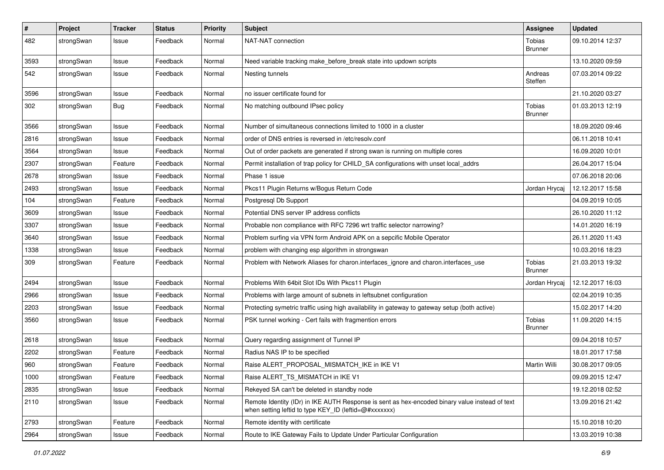| #    | Project    | <b>Tracker</b> | <b>Status</b> | <b>Priority</b> | <b>Subject</b>                                                                                                                                          | Assignee                 | <b>Updated</b>   |
|------|------------|----------------|---------------|-----------------|---------------------------------------------------------------------------------------------------------------------------------------------------------|--------------------------|------------------|
| 482  | strongSwan | Issue          | Feedback      | Normal          | NAT-NAT connection                                                                                                                                      | Tobias<br><b>Brunner</b> | 09.10.2014 12:37 |
| 3593 | strongSwan | Issue          | Feedback      | Normal          | Need variable tracking make_before_break state into updown scripts                                                                                      |                          | 13.10.2020 09:59 |
| 542  | strongSwan | Issue          | Feedback      | Normal          | Nesting tunnels                                                                                                                                         | Andreas<br>Steffen       | 07.03.2014 09:22 |
| 3596 | strongSwan | Issue          | Feedback      | Normal          | no issuer certificate found for                                                                                                                         |                          | 21.10.2020 03:27 |
| 302  | strongSwan | <b>Bug</b>     | Feedback      | Normal          | No matching outbound IPsec policy                                                                                                                       | Tobias<br>Brunner        | 01.03.2013 12:19 |
| 3566 | strongSwan | Issue          | Feedback      | Normal          | Number of simultaneous connections limited to 1000 in a cluster                                                                                         |                          | 18.09.2020 09:46 |
| 2816 | strongSwan | Issue          | Feedback      | Normal          | order of DNS entries is reversed in /etc/resolv.conf                                                                                                    |                          | 06.11.2018 10:41 |
| 3564 | strongSwan | Issue          | Feedback      | Normal          | Out of order packets are generated if strong swan is running on multiple cores                                                                          |                          | 16.09.2020 10:01 |
| 2307 | strongSwan | Feature        | Feedback      | Normal          | Permit installation of trap policy for CHILD_SA configurations with unset local_addrs                                                                   |                          | 26.04.2017 15:04 |
| 2678 | strongSwan | Issue          | Feedback      | Normal          | Phase 1 issue                                                                                                                                           |                          | 07.06.2018 20:06 |
| 2493 | strongSwan | Issue          | Feedback      | Normal          | Pkcs11 Plugin Returns w/Bogus Return Code                                                                                                               | Jordan Hrycaj            | 12.12.2017 15:58 |
| 104  | strongSwan | Feature        | Feedback      | Normal          | Postgresql Db Support                                                                                                                                   |                          | 04.09.2019 10:05 |
| 3609 | strongSwan | Issue          | Feedback      | Normal          | Potential DNS server IP address conflicts                                                                                                               |                          | 26.10.2020 11:12 |
| 3307 | strongSwan | Issue          | Feedback      | Normal          | Probable non compliance with RFC 7296 wrt traffic selector narrowing?                                                                                   |                          | 14.01.2020 16:19 |
| 3640 | strongSwan | Issue          | Feedback      | Normal          | Problem surfing via VPN form Android APK on a sepcific Mobile Operator                                                                                  |                          | 26.11.2020 11:43 |
| 1338 | strongSwan | Issue          | Feedback      | Normal          | problem with changing esp algorithm in strongswan                                                                                                       |                          | 10.03.2016 18:23 |
| 309  | strongSwan | Feature        | Feedback      | Normal          | Problem with Network Aliases for charon.interfaces_ignore and charon.interfaces_use                                                                     | Tobias<br>Brunner        | 21.03.2013 19:32 |
| 2494 | strongSwan | Issue          | Feedback      | Normal          | Problems With 64bit Slot IDs With Pkcs11 Plugin                                                                                                         | Jordan Hrycaj            | 12.12.2017 16:03 |
| 2966 | strongSwan | Issue          | Feedback      | Normal          | Problems with large amount of subnets in leftsubnet configuration                                                                                       |                          | 02.04.2019 10:35 |
| 2203 | strongSwan | Issue          | Feedback      | Normal          | Protecting symetric traffic using high availability in gateway to gateway setup (both active)                                                           |                          | 15.02.2017 14:20 |
| 3560 | strongSwan | Issue          | Feedback      | Normal          | PSK tunnel working - Cert fails with fragmention errors                                                                                                 | Tobias<br><b>Brunner</b> | 11.09.2020 14:15 |
| 2618 | strongSwan | Issue          | Feedback      | Normal          | Query regarding assignment of Tunnel IP                                                                                                                 |                          | 09.04.2018 10:57 |
| 2202 | strongSwan | Feature        | Feedback      | Normal          | Radius NAS IP to be specified                                                                                                                           |                          | 18.01.2017 17:58 |
| 960  | strongSwan | Feature        | Feedback      | Normal          | Raise ALERT_PROPOSAL_MISMATCH_IKE in IKE V1                                                                                                             | Martin Willi             | 30.08.2017 09:05 |
| 1000 | strongSwan | Feature        | Feedback      | Normal          | Raise ALERT_TS_MISMATCH in IKE V1                                                                                                                       |                          | 09.09.2015 12:47 |
| 2835 | strongSwan | Issue          | Feedback      | Normal          | Rekeyed SA can't be deleted in standby node                                                                                                             |                          | 19.12.2018 02:52 |
| 2110 | strongSwan | Issue          | Feedback      | Normal          | Remote Identity (IDr) in IKE AUTH Response is sent as hex-encoded binary value instead of text<br>when setting leftid to type KEY_ID (leftid=@#xxxxxxx) |                          | 13.09.2016 21:42 |
| 2793 | strongSwan | Feature        | Feedback      | Normal          | Remote identity with certificate                                                                                                                        |                          | 15.10.2018 10:20 |
| 2964 | strongSwan | Issue          | Feedback      | Normal          | Route to IKE Gateway Fails to Update Under Particular Configuration                                                                                     |                          | 13.03.2019 10:38 |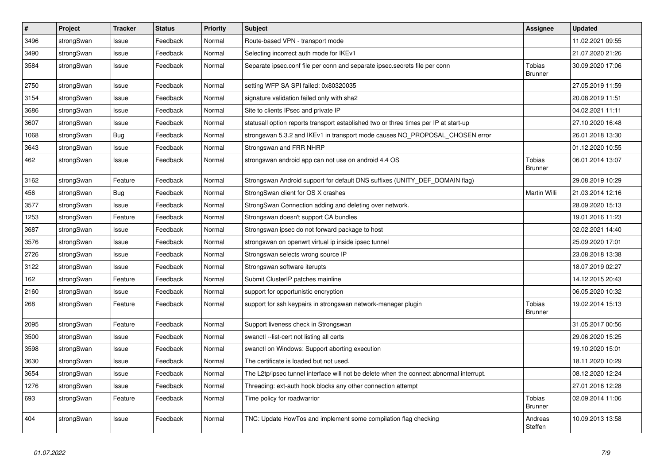| $\vert$ # | Project    | <b>Tracker</b> | <b>Status</b> | <b>Priority</b> | <b>Subject</b>                                                                          | <b>Assignee</b>                 | <b>Updated</b>   |
|-----------|------------|----------------|---------------|-----------------|-----------------------------------------------------------------------------------------|---------------------------------|------------------|
| 3496      | strongSwan | Issue          | Feedback      | Normal          | Route-based VPN - transport mode                                                        |                                 | 11.02.2021 09:55 |
| 3490      | strongSwan | Issue          | Feedback      | Normal          | Selecting incorrect auth mode for IKEv1                                                 |                                 | 21.07.2020 21:26 |
| 3584      | strongSwan | Issue          | Feedback      | Normal          | Separate ipsec.conf file per conn and separate ipsec.secrets file per conn              | <b>Tobias</b><br><b>Brunner</b> | 30.09.2020 17:06 |
| 2750      | strongSwan | Issue          | Feedback      | Normal          | setting WFP SA SPI failed: 0x80320035                                                   |                                 | 27.05.2019 11:59 |
| 3154      | strongSwan | Issue          | Feedback      | Normal          | signature validation failed only with sha2                                              |                                 | 20.08.2019 11:51 |
| 3686      | strongSwan | Issue          | Feedback      | Normal          | Site to clients IPsec and private IP                                                    |                                 | 04.02.2021 11:11 |
| 3607      | strongSwan | Issue          | Feedback      | Normal          | statusall option reports transport established two or three times per IP at start-up    |                                 | 27.10.2020 16:48 |
| 1068      | strongSwan | <b>Bug</b>     | Feedback      | Normal          | strongswan 5.3.2 and IKEv1 in transport mode causes NO PROPOSAL CHOSEN error            |                                 | 26.01.2018 13:30 |
| 3643      | strongSwan | Issue          | Feedback      | Normal          | Strongswan and FRR NHRP                                                                 |                                 | 01.12.2020 10:55 |
| 462       | strongSwan | Issue          | Feedback      | Normal          | strongswan android app can not use on android 4.4 OS                                    | <b>Tobias</b><br><b>Brunner</b> | 06.01.2014 13:07 |
| 3162      | strongSwan | Feature        | Feedback      | Normal          | Strongswan Android support for default DNS suffixes (UNITY_DEF_DOMAIN flag)             |                                 | 29.08.2019 10:29 |
| 456       | strongSwan | Bug            | Feedback      | Normal          | StrongSwan client for OS X crashes                                                      | Martin Willi                    | 21.03.2014 12:16 |
| 3577      | strongSwan | Issue          | Feedback      | Normal          | StrongSwan Connection adding and deleting over network.                                 |                                 | 28.09.2020 15:13 |
| 1253      | strongSwan | Feature        | Feedback      | Normal          | Strongswan doesn't support CA bundles                                                   |                                 | 19.01.2016 11:23 |
| 3687      | strongSwan | Issue          | Feedback      | Normal          | Strongswan ipsec do not forward package to host                                         |                                 | 02.02.2021 14:40 |
| 3576      | strongSwan | Issue          | Feedback      | Normal          | strongswan on openwrt virtual ip inside ipsec tunnel                                    |                                 | 25.09.2020 17:01 |
| 2726      | strongSwan | Issue          | Feedback      | Normal          | Strongswan selects wrong source IP                                                      |                                 | 23.08.2018 13:38 |
| 3122      | strongSwan | Issue          | Feedback      | Normal          | Strongswan software iterupts                                                            |                                 | 18.07.2019 02:27 |
| 162       | strongSwan | Feature        | Feedback      | Normal          | Submit ClusterIP patches mainline                                                       |                                 | 14.12.2015 20:43 |
| 2160      | strongSwan | Issue          | Feedback      | Normal          | support for opportunistic encryption                                                    |                                 | 06.05.2020 10:32 |
| 268       | strongSwan | Feature        | Feedback      | Normal          | support for ssh keypairs in strongswan network-manager plugin                           | <b>Tobias</b><br><b>Brunner</b> | 19.02.2014 15:13 |
| 2095      | strongSwan | Feature        | Feedback      | Normal          | Support liveness check in Strongswan                                                    |                                 | 31.05.2017 00:56 |
| 3500      | strongSwan | Issue          | Feedback      | Normal          | swanctl --list-cert not listing all certs                                               |                                 | 29.06.2020 15:25 |
| 3598      | strongSwan | Issue          | Feedback      | Normal          | swanctl on Windows: Support aborting execution                                          |                                 | 19.10.2020 15:01 |
| 3630      | strongSwan | Issue          | Feedback      | Normal          | The certificate is loaded but not used.                                                 |                                 | 18.11.2020 10:29 |
| 3654      | strongSwan | Issue          | Feedback      | Normal          | The L2tp/ipsec tunnel interface will not be delete when the connect abnormal interrupt. |                                 | 08.12.2020 12:24 |
| 1276      | strongSwan | Issue          | Feedback      | Normal          | Threading: ext-auth hook blocks any other connection attempt                            |                                 | 27.01.2016 12:28 |
| 693       | strongSwan | Feature        | Feedback      | Normal          | Time policy for roadwarrior                                                             | Tobias<br><b>Brunner</b>        | 02.09.2014 11:06 |
| 404       | strongSwan | Issue          | Feedback      | Normal          | TNC: Update HowTos and implement some compilation flag checking                         | Andreas<br>Steffen              | 10.09.2013 13:58 |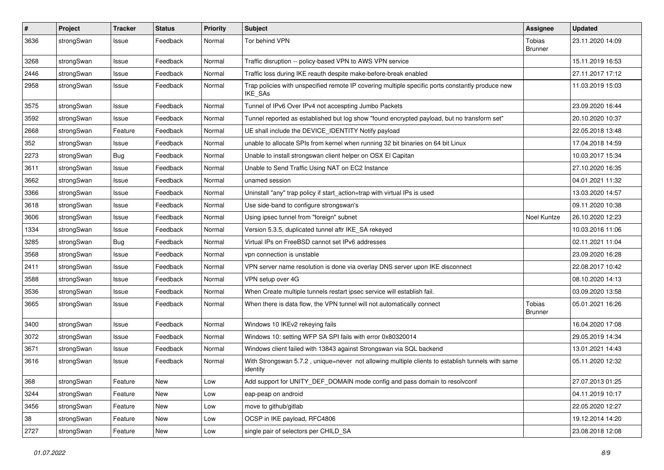| $\sharp$ | Project    | <b>Tracker</b> | <b>Status</b> | <b>Priority</b> | <b>Subject</b>                                                                                                     | <b>Assignee</b>          | <b>Updated</b>   |
|----------|------------|----------------|---------------|-----------------|--------------------------------------------------------------------------------------------------------------------|--------------------------|------------------|
| 3636     | strongSwan | Issue          | Feedback      | Normal          | Tor behind VPN                                                                                                     | Tobias<br><b>Brunner</b> | 23.11.2020 14:09 |
| 3268     | strongSwan | Issue          | Feedback      | Normal          | Traffic disruption -- policy-based VPN to AWS VPN service                                                          |                          | 15.11.2019 16:53 |
| 2446     | strongSwan | Issue          | Feedback      | Normal          | Traffic loss during IKE reauth despite make-before-break enabled                                                   |                          | 27.11.2017 17:12 |
| 2958     | strongSwan | Issue          | Feedback      | Normal          | Trap policies with unspecified remote IP covering multiple specific ports constantly produce new<br><b>IKE SAs</b> |                          | 11.03.2019 15:03 |
| 3575     | strongSwan | Issue          | Feedback      | Normal          | Tunnel of IPv6 Over IPv4 not accespting Jumbo Packets                                                              |                          | 23.09.2020 16:44 |
| 3592     | strongSwan | Issue          | Feedback      | Normal          | Tunnel reported as established but log show "found encrypted payload, but no transform set"                        |                          | 20.10.2020 10:37 |
| 2668     | strongSwan | Feature        | Feedback      | Normal          | UE shall include the DEVICE IDENTITY Notify payload                                                                |                          | 22.05.2018 13:48 |
| 352      | strongSwan | Issue          | Feedback      | Normal          | unable to allocate SPIs from kernel when running 32 bit binaries on 64 bit Linux                                   |                          | 17.04.2018 14:59 |
| 2273     | strongSwan | Bug            | Feedback      | Normal          | Unable to install strongswan client helper on OSX El Capitan                                                       |                          | 10.03.2017 15:34 |
| 3611     | strongSwan | Issue          | Feedback      | Normal          | Unable to Send Traffic Using NAT on EC2 Instance                                                                   |                          | 27.10.2020 16:35 |
| 3662     | strongSwan | Issue          | Feedback      | Normal          | unamed session                                                                                                     |                          | 04.01.2021 11:32 |
| 3366     | strongSwan | Issue          | Feedback      | Normal          | Uninstall "any" trap policy if start_action=trap with virtual IPs is used                                          |                          | 13.03.2020 14:57 |
| 3618     | strongSwan | Issue          | Feedback      | Normal          | Use side-band to configure strongswan's                                                                            |                          | 09.11.2020 10:38 |
| 3606     | strongSwan | Issue          | Feedback      | Normal          | Using ipsec tunnel from "foreign" subnet                                                                           | Noel Kuntze              | 26.10.2020 12:23 |
| 1334     | strongSwan | Issue          | Feedback      | Normal          | Version 5.3.5, duplicated tunnel aftr IKE_SA rekeyed                                                               |                          | 10.03.2016 11:06 |
| 3285     | strongSwan | <b>Bug</b>     | Feedback      | Normal          | Virtual IPs on FreeBSD cannot set IPv6 addresses                                                                   |                          | 02.11.2021 11:04 |
| 3568     | strongSwan | Issue          | Feedback      | Normal          | vpn connection is unstable                                                                                         |                          | 23.09.2020 16:28 |
| 2411     | strongSwan | Issue          | Feedback      | Normal          | VPN server name resolution is done via overlay DNS server upon IKE disconnect                                      |                          | 22.08.2017 10:42 |
| 3588     | strongSwan | Issue          | Feedback      | Normal          | VPN setup over 4G                                                                                                  |                          | 08.10.2020 14:13 |
| 3536     | strongSwan | Issue          | Feedback      | Normal          | When Create multiple tunnels restart ipsec service will establish fail.                                            |                          | 03.09.2020 13:58 |
| 3665     | strongSwan | Issue          | Feedback      | Normal          | When there is data flow, the VPN tunnel will not automatically connect                                             | Tobias<br><b>Brunner</b> | 05.01.2021 16:26 |
| 3400     | strongSwan | Issue          | Feedback      | Normal          | Windows 10 IKEv2 rekeying fails                                                                                    |                          | 16.04.2020 17:08 |
| 3072     | strongSwan | Issue          | Feedback      | Normal          | Windows 10: setting WFP SA SPI fails with error 0x80320014                                                         |                          | 29.05.2019 14:34 |
| 3671     | strongSwan | Issue          | Feedback      | Normal          | Windows client failed with 13843 against Strongswan via SQL backend                                                |                          | 13.01.2021 14:43 |
| 3616     | strongSwan | Issue          | Feedback      | Normal          | With Strongswan 5.7.2, unique=never not allowing multiple clients to establish tunnels with same<br>identity       |                          | 05.11.2020 12:32 |
| 368      | strongSwan | Feature        | New           | Low             | Add support for UNITY_DEF_DOMAIN mode config and pass domain to resolvconf                                         |                          | 27.07.2013 01:25 |
| 3244     | strongSwan | Feature        | New           | Low             | eap-peap on android                                                                                                |                          | 04.11.2019 10:17 |
| 3456     | strongSwan | Feature        | New           | Low             | move to github/gitlab                                                                                              |                          | 22.05.2020 12:27 |
| 38       | strongSwan | Feature        | New           | Low             | OCSP in IKE payload, RFC4806                                                                                       |                          | 19.12.2014 14:20 |
| 2727     | strongSwan | Feature        | New           | Low             | single pair of selectors per CHILD_SA                                                                              |                          | 23.08.2018 12:08 |